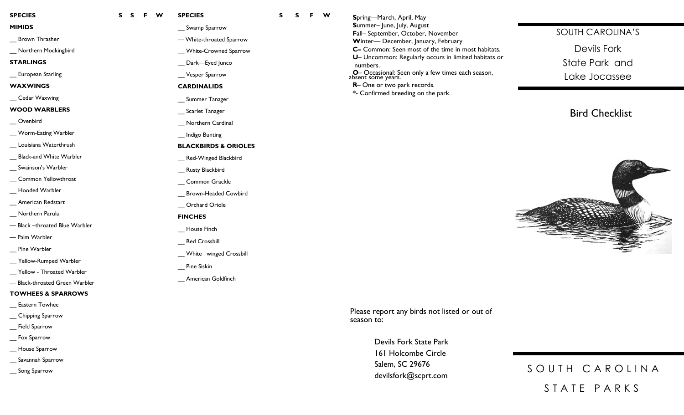**S S F W**

## **MIMIDS**

\_\_ Brown Thrasher

\_\_ Northern Mockingbird

#### **STARLINGS**

\_\_ European Starling

#### **WAXWINGS**

\_\_ Cedar Waxwing

#### **WOOD WARBLERS**

\_\_ Ovenbird

\_\_ Worm -Eating Warbler

\_\_ Louisiana Waterthrush

\_\_ Black -and White Warbler

\_\_ Swainson's Warbler

\_ Common Yellowthroat

\_\_ Hooded Warbler

\_\_ American Redstart

\_\_ Northern Parula

— Black –throated Blue Warbler

— Palm Warbler

Pine Warbler

\_\_ Yellow -Rumped Warbler

\_\_ Yellow - Throated Warbler

— Black -throated Green Warbler

### **TOWHEES & SPARROWS**

Eastern Towhee

\_\_ Chipping Sparrow

Field Sparrow

\_\_ Fox Sparrow

\_\_ House Sparrow

\_\_ Savannah Sparrow

\_\_ Song Sparrow

| Swamp Sparrow                   |  |  |  |
|---------------------------------|--|--|--|
| - White-throated Sparrow        |  |  |  |
| __ White-Crowned Sparrow        |  |  |  |
| __ Dark-Eyed Junco              |  |  |  |
| Vesper Sparrow                  |  |  |  |
| <b>CARDINALIDS</b>              |  |  |  |
| __ Summer Tanager               |  |  |  |
| _ Scarlet Tanager               |  |  |  |
| _ Northern Cardinal             |  |  |  |
| Indigo Bunting                  |  |  |  |
| <b>BLACKBIRDS &amp; ORIOLES</b> |  |  |  |
| _ Red-Winged Blackbird          |  |  |  |
| Rusty Blackbird                 |  |  |  |
| _ Common Grackle                |  |  |  |
| Brown-Headed Cowbird            |  |  |  |
| Orchard Oriole                  |  |  |  |
| <b>FINCHES</b>                  |  |  |  |
| _ House Finch                   |  |  |  |
| _ Red Crossbill                 |  |  |  |
| _ White- winged Crossbill       |  |  |  |
| <b>Pine Siskin</b>              |  |  |  |

**SPECIES**

**S**

**S**

**F W**

\_\_ American Goldfinch

**S**pring—March, April, May  **S**ummer– June, July, August **F**all – September, October, November  **W**inter— December, January, February **C –** Common: Seen most of the time in most habitats.  **U** – Uncommon: Regularly occurs in limited habitats or numbers.  **O** – Occasional: Seen only a few times each season, absent some years.

**R**– One or two park records.

 **\*** - Confirmed breeding on the park.

## SOUTH CAROLINA'S

Devils Fork State Park and Lake Jocassee

# Bird Checklist



Please report any birds not listed or out of season to:

> Devils Fork State Park 161 Holcombe Circle Salem, SC 29676 devilsfork@scprt.com

SOUTH CAROLINA S T A T E P A R K S